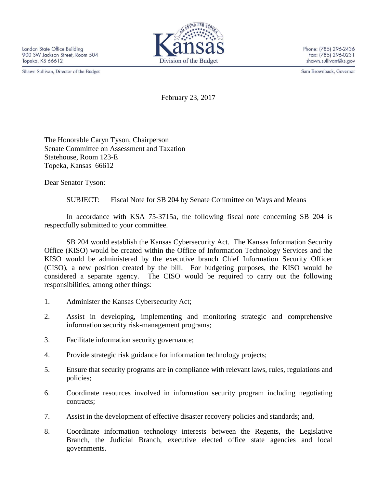Shawn Sullivan, Director of the Budget



Phone: (785) 296-2436 Fax: (785) 296-0231 shawn.sullivan@ks.gov

Sam Brownback, Governor

February 23, 2017

The Honorable Caryn Tyson, Chairperson Senate Committee on Assessment and Taxation Statehouse, Room 123-E Topeka, Kansas 66612

Dear Senator Tyson:

SUBJECT: Fiscal Note for SB 204 by Senate Committee on Ways and Means

In accordance with KSA 75-3715a, the following fiscal note concerning SB 204 is respectfully submitted to your committee.

SB 204 would establish the Kansas Cybersecurity Act. The Kansas Information Security Office (KISO) would be created within the Office of Information Technology Services and the KISO would be administered by the executive branch Chief Information Security Officer (CISO), a new position created by the bill. For budgeting purposes, the KISO would be considered a separate agency. The CISO would be required to carry out the following responsibilities, among other things:

- 1. Administer the Kansas Cybersecurity Act;
- 2. Assist in developing, implementing and monitoring strategic and comprehensive information security risk-management programs;
- 3. Facilitate information security governance;
- 4. Provide strategic risk guidance for information technology projects;
- 5. Ensure that security programs are in compliance with relevant laws, rules, regulations and policies;
- 6. Coordinate resources involved in information security program including negotiating contracts;
- 7. Assist in the development of effective disaster recovery policies and standards; and,
- 8. Coordinate information technology interests between the Regents, the Legislative Branch, the Judicial Branch, executive elected office state agencies and local governments.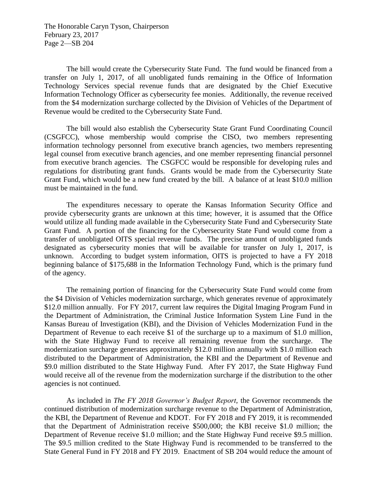The Honorable Caryn Tyson, Chairperson February 23, 2017 Page 2—SB 204

The bill would create the Cybersecurity State Fund. The fund would be financed from a transfer on July 1, 2017, of all unobligated funds remaining in the Office of Information Technology Services special revenue funds that are designated by the Chief Executive Information Technology Officer as cybersecurity fee monies. Additionally, the revenue received from the \$4 modernization surcharge collected by the Division of Vehicles of the Department of Revenue would be credited to the Cybersecurity State Fund.

The bill would also establish the Cybersecurity State Grant Fund Coordinating Council (CSGFCC), whose membership would comprise the CISO, two members representing information technology personnel from executive branch agencies, two members representing legal counsel from executive branch agencies, and one member representing financial personnel from executive branch agencies. The CSGFCC would be responsible for developing rules and regulations for distributing grant funds. Grants would be made from the Cybersecurity State Grant Fund, which would be a new fund created by the bill. A balance of at least \$10.0 million must be maintained in the fund.

The expenditures necessary to operate the Kansas Information Security Office and provide cybersecurity grants are unknown at this time; however, it is assumed that the Office would utilize all funding made available in the Cybersecurity State Fund and Cybersecurity State Grant Fund. A portion of the financing for the Cybersecurity State Fund would come from a transfer of unobligated OITS special revenue funds. The precise amount of unobligated funds designated as cybersecurity monies that will be available for transfer on July 1, 2017, is unknown. According to budget system information, OITS is projected to have a FY 2018 beginning balance of \$175,688 in the Information Technology Fund, which is the primary fund of the agency.

The remaining portion of financing for the Cybersecurity State Fund would come from the \$4 Division of Vehicles modernization surcharge, which generates revenue of approximately \$12.0 million annually. For FY 2017, current law requires the Digital Imaging Program Fund in the Department of Administration, the Criminal Justice Information System Line Fund in the Kansas Bureau of Investigation (KBI), and the Division of Vehicles Modernization Fund in the Department of Revenue to each receive \$1 of the surcharge up to a maximum of \$1.0 million, with the State Highway Fund to receive all remaining revenue from the surcharge. The modernization surcharge generates approximately \$12.0 million annually with \$1.0 million each distributed to the Department of Administration, the KBI and the Department of Revenue and \$9.0 million distributed to the State Highway Fund. After FY 2017, the State Highway Fund would receive all of the revenue from the modernization surcharge if the distribution to the other agencies is not continued.

As included in *The FY 2018 Governor's Budget Report*, the Governor recommends the continued distribution of modernization surcharge revenue to the Department of Administration, the KBI, the Department of Revenue and KDOT. For FY 2018 and FY 2019, it is recommended that the Department of Administration receive \$500,000; the KBI receive \$1.0 million; the Department of Revenue receive \$1.0 million; and the State Highway Fund receive \$9.5 million. The \$9.5 million credited to the State Highway Fund is recommended to be transferred to the State General Fund in FY 2018 and FY 2019. Enactment of SB 204 would reduce the amount of